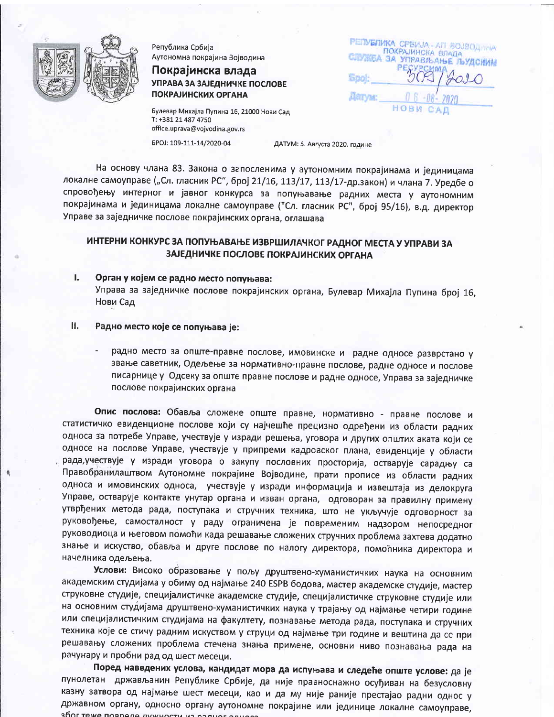

Република Србија Аутономна покрајина Војводина

Покрајинска влада УПРАВА ЗА ЗАЈЕДНИЧКЕ ПОСЛОВЕ **ПОКРАЈИНСКИХ ОРГАНА** 

Булевар Михајла Пупина 16, 21000 Нови Сад T: +381 21 487 4750 office.uprava@vojvodina.gov.rs

**PERVERIMKA CPBMJA-AFI BOJBOJIVINA** СПУЖБА ЗА УПРАВЉАЊЕ ЉУДСКИМ Spol: **ARTYM:** НОВИ САД

БРОЈ: 109-111-14/2020-04

ДАТУМ: 5. Августа 2020. године

На основу члана 83. Закона о запосленима у аутономним покрајинама и јединицама локалне самоуправе ("Сл. гласник РС", број 21/16, 113/17, 113/17-др.закон) и члана 7. Уредбе о спровођењу интерног и јавног конкурса за попуњавање радних места у аутономним покрајинама и јединицама локалне самоуправе ("Сл. гласник РС", број 95/16), в.д. директор Управе за заједничке послове покрајинских органа, оглашава

# ИНТЕРНИ КОНКУРС ЗА ПОПУЊАВАЊЕ ИЗВРШИЛАЧКОГ РАДНОГ МЕСТА У УПРАВИ ЗА ЗАЈЕДНИЧКЕ ПОСЛОВЕ ПОКРАЈИНСКИХ ОРГАНА

- Орган у којем се радно место попуњава: L. Управа за заједничке послове покрајинских органа, Булевар Михајла Пупина број 16, Нови Сад
- Н. Радно место које се попуњава је:
	- радно место за опште-правне послове, имовинске и радне односе разврстано у звање саветник, Одељење за нормативно-правне послове, радне односе и послове писарнице у Одсеку за опште правне послове и радне односе, Управа за заједничке послове покрајинских органа

Опис послова: Обавља сложене опште правне, нормативно - правне послове и статистичко евиденционе послове који су најчешће прецизно одређени из области радних односа за потребе Управе, учествује у изради решења, уговора и других општих аката који се односе на послове Управе, учествује у припреми кадровског плана, евиденције у области рада, учествује у изради уговора о закупу пословних просторија, остварује сарадњу са Правобранилаштвом Аутономне покрајине Војводине, прати прописе из области радних односа и имовинских односа, учествује у изради информација и извештаја из делокруга Управе, остварује контакте унутар органа и изван органа, одговоран за правилну примену утврђених метода рада, поступака и стручних техника, што не укључује одговорност за руковођење, самосталност у раду ограничена је повременим надзором непосредног руководиоца и његовом помоћи када решавање сложених стручних проблема захтева додатно знање и искуство, обавља и друге послове по налогу директора, помоћника директора и начелника одељења.

Услови: Високо образовање у пољу друштвено-хуманистичких наука на основним академским студијама у обиму од најмање 240 ESPB бодова, мастер академске студије, мастер струковне студије, специјалистичке академске студије, специјалистичке струковне студије или на основним студијама друштвено-хуманистичких наука у трајању од најмање четири године или специјалистичким студијама на факултету, познавање метода рада, поступака и стручних техника које се стичу радним искуством у струци од најмање три године и вештина да се при решавању сложених проблема стечена знања примене, основни ниво познавања рада на рачунару и пробни рад од шест месеци.

Поред наведених услова, кандидат мора да испуњава и следеће опште услове: да је пунолетан држављанин Републике Србије, да није правноснажно осуђиван на безусловну казну затвора од најмање шест месеци, као и да му није раније престајао радни однос у државном органу, односно органу аутономне покрајине или јединице локалне самоуправе, 300E TAWA BORDARA BUWUOCTIA IA2 B25L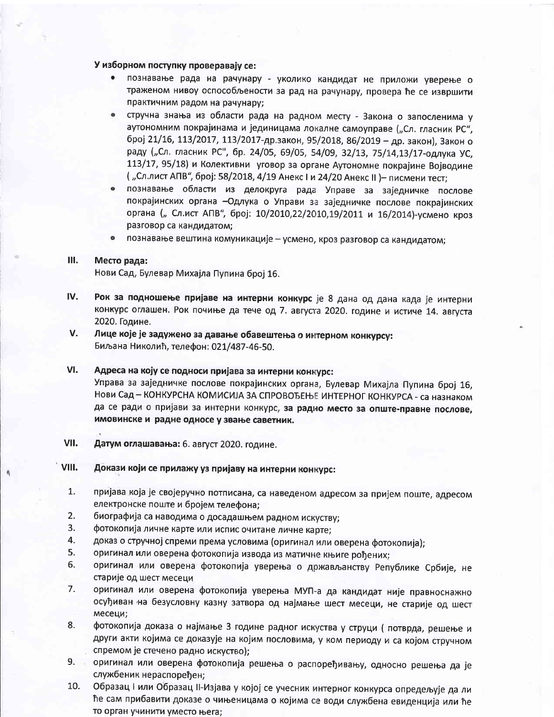# У изборном поступку проверавају се:

- познавање рада на рачунару уколико кандидат не приложи уверење о траженом нивоу оспособљености за рад на рачунару, провера ће се извршити практичним радом на рачунару;
- стручна знања из области рада на радном месту Закона о запосленима у аутономним покрајинама и јединицама локалне самоуправе ("Сл. гласник РС", број 21/16, 113/2017, 113/2017-др.закон, 95/2018, 86/2019 - др. закон), Закон о раду ("Сл. гласник РС", бр. 24/05, 69/05, 54/09, 32/13, 75/14,13/17-одлука УС, 113/17, 95/18) и Колективни уговор за органе Аутономне покрајине Војводине ("Сл.лист АПВ", број: 58/2018, 4/19 Анекс I и 24/20 Анекс II) - писмени тест;
- познавање области из делокруга рада Управе за заједничке послове  $\bullet$ покрајинских органа - Одлука о Управи за заједничке послове покрајинских органа ("Сл.ист АПВ", број: 10/2010,22/2010,19/2011 и 16/2014)-усмено кроз разговор са кандидатом:
- $\ddot{\bullet}$ познавање вештина комуникације - усмено, кроз разговор са кандидатом;

#### **III.** Место рада:

Нови Сад, Булевар Михајла Пупина број 16.

- IV. Рок за подношење пријаве на интерни конкурс је 8 дана од дана када је интерни конкурс оглашен. Рок почиње да тече од 7. августа 2020. године и истиче 14. августа 2020. Године.
- V. Лице које је задужено за давање обавештења о интерном конкурсу: Биљана Николић, телефон: 021/487-46-50.

### VI. Адреса на коју се подноси пријава за интерни конкурс:

Управа за заједничке послове покрајинских органа, Булевар Михајла Пупина број 16, Нови Сад - КОНКУРСНА КОМИСИЈА ЗА СПРОВОЂЕЊЕ ИНТЕРНОГ КОНКУРСА - са назнаком да се ради о пријави за интерни конкурс, за радно место за опште-правне послове, имовинске и радне односе у звање саветник.

VII. Датум оглашавања: 6. август 2020. године.

#### VIII. Докази који се прилажу уз пријаву на интерни конкурс:

- $1.$ пријава која је својеручно потписана, са наведеном адресом за пријем поште, адресом електронске поште и бројем телефона;
- $2.$ биографија са наводима о досадашњем радном искуству;
- $3.$ фотокопија личне карте или испис очитане личне карте;
- 4. доказ о стручној спреми према условима (оригинал или оверена фотокопија);
- 5. оригинал или оверена фотокопија извода из матичне књиге рођених;
- 6. оригинал или оверена фотокопија уверења о држављанству Републике Србије, не старије од шест месеци
- $7.$ оригинал или оверена фотокопија уверења МУП-а да кандидат није правноснажно осуђиван на безусловну казну затвора од најмање шест месеци, не старије од шест месеци;
- 8. фотокопија доказа о најмање 3 године радног искуства у струци (потврда, решење и други акти којима се доказује на којим пословима, у ком периоду и са којом стручном спремом је стечено радно искуство);
- оригинал или оверена фотокопија решења о распоређивању, односно решења да је  $9.$ службеник нераспоређен;
- 10. Образац I или Образац II-Изјава у којој се учесник интерног конкурса опредељује да ли ће сам прибавити доказе о чињеницама о којима се води службена евиденција или ће то орган учинити уместо њега;